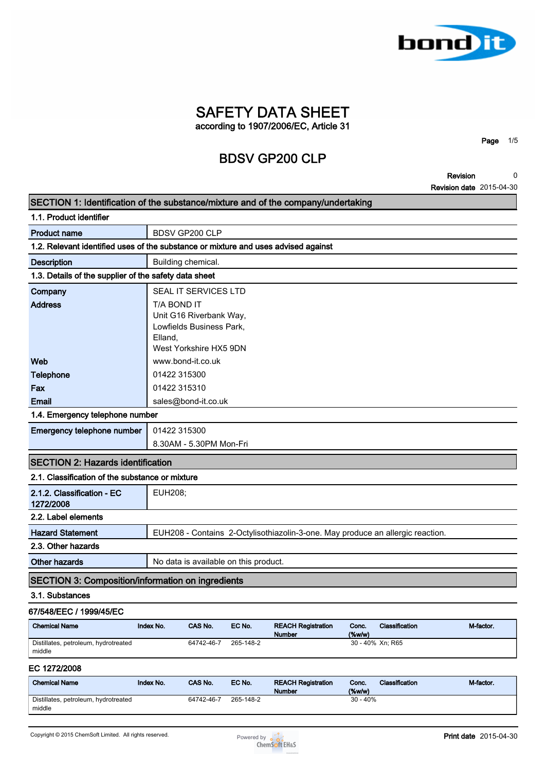

**SAFETY DATA SHEET according to 1907/2006/EC, Article 31**

# **BDSV GP200 CLP**

**Revision 0**

**Page 1/5**

**Revision date 2015-04-30**

| SECTION 1: Identification of the substance/mixture and of the company/undertaking  |                        |                                                                               |           |                                                                                |                    |                       |           |
|------------------------------------------------------------------------------------|------------------------|-------------------------------------------------------------------------------|-----------|--------------------------------------------------------------------------------|--------------------|-----------------------|-----------|
| 1.1. Product identifier                                                            |                        |                                                                               |           |                                                                                |                    |                       |           |
| <b>Product name</b>                                                                |                        | <b>BDSV GP200 CLP</b>                                                         |           |                                                                                |                    |                       |           |
| 1.2. Relevant identified uses of the substance or mixture and uses advised against |                        |                                                                               |           |                                                                                |                    |                       |           |
| <b>Description</b>                                                                 |                        | Building chemical.                                                            |           |                                                                                |                    |                       |           |
| 1.3. Details of the supplier of the safety data sheet                              |                        |                                                                               |           |                                                                                |                    |                       |           |
| Company                                                                            |                        | SEAL IT SERVICES LTD                                                          |           |                                                                                |                    |                       |           |
| <b>Address</b>                                                                     | T/A BOND IT<br>Elland, | Unit G16 Riverbank Way,<br>Lowfields Business Park,<br>West Yorkshire HX5 9DN |           |                                                                                |                    |                       |           |
| Web                                                                                |                        | www.bond-it.co.uk                                                             |           |                                                                                |                    |                       |           |
| <b>Telephone</b>                                                                   | 01422 315300           |                                                                               |           |                                                                                |                    |                       |           |
| Fax                                                                                | 01422 315310           |                                                                               |           |                                                                                |                    |                       |           |
| Email                                                                              |                        | sales@bond-it.co.uk                                                           |           |                                                                                |                    |                       |           |
| 1.4. Emergency telephone number                                                    |                        |                                                                               |           |                                                                                |                    |                       |           |
| Emergency telephone number                                                         | 01422 315300           |                                                                               |           |                                                                                |                    |                       |           |
|                                                                                    |                        | 8.30AM - 5.30PM Mon-Fri                                                       |           |                                                                                |                    |                       |           |
| <b>SECTION 2: Hazards identification</b>                                           |                        |                                                                               |           |                                                                                |                    |                       |           |
| 2.1. Classification of the substance or mixture                                    |                        |                                                                               |           |                                                                                |                    |                       |           |
| 2.1.2. Classification - EC<br>1272/2008                                            | <b>EUH208;</b>         |                                                                               |           |                                                                                |                    |                       |           |
| 2.2. Label elements                                                                |                        |                                                                               |           |                                                                                |                    |                       |           |
| <b>Hazard Statement</b>                                                            |                        |                                                                               |           | EUH208 - Contains 2-Octylisothiazolin-3-one. May produce an allergic reaction. |                    |                       |           |
| 2.3. Other hazards                                                                 |                        |                                                                               |           |                                                                                |                    |                       |           |
| <b>Other hazards</b>                                                               |                        | No data is available on this product.                                         |           |                                                                                |                    |                       |           |
| <b>SECTION 3: Composition/information on ingredients</b>                           |                        |                                                                               |           |                                                                                |                    |                       |           |
| 3.1. Substances                                                                    |                        |                                                                               |           |                                                                                |                    |                       |           |
| 67/548/EEC / 1999/45/EC                                                            |                        |                                                                               |           |                                                                                |                    |                       |           |
| <b>Chemical Name</b>                                                               | Index No.              | CAS No.                                                                       | EC No.    | <b>REACH Registration</b><br><b>Number</b>                                     | Conc.<br>(%        | Classification        | M-factor. |
| Distillates, petroleum, hydrotreated<br>middle                                     |                        | 64742-46-7                                                                    | 265-148-2 |                                                                                |                    | 30 - 40% Xn: R65      |           |
| EC 1272/2008                                                                       |                        |                                                                               |           |                                                                                |                    |                       |           |
| <b>Chemical Name</b>                                                               | Index No.              | CAS No.                                                                       | EC No.    | <b>REACH Registration</b><br><b>Number</b>                                     | Conc.<br>$(\%w/w)$ | <b>Classification</b> | M-factor. |
| Distillates, petroleum, hydrotreated                                               |                        | 64742-46-7                                                                    | 265-148-2 |                                                                                | $30 - 40%$         |                       |           |

**middle**

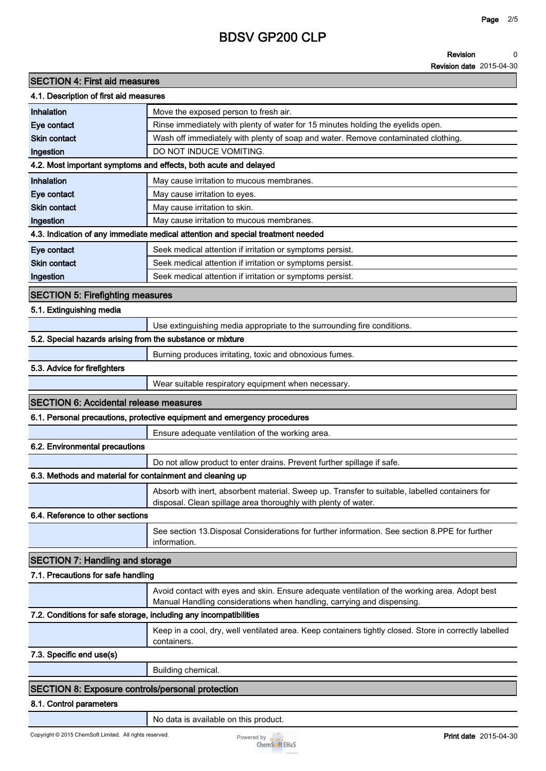#### **Revision 0**

**Revision date 2015-04-30**

| <b>SECTION 4: First aid measures</b>                              |                                                                                                                       |  |  |
|-------------------------------------------------------------------|-----------------------------------------------------------------------------------------------------------------------|--|--|
| 4.1. Description of first aid measures                            |                                                                                                                       |  |  |
| <b>Inhalation</b>                                                 | Move the exposed person to fresh air.                                                                                 |  |  |
| Eye contact                                                       | Rinse immediately with plenty of water for 15 minutes holding the eyelids open.                                       |  |  |
| <b>Skin contact</b>                                               | Wash off immediately with plenty of soap and water. Remove contaminated clothing.                                     |  |  |
| Ingestion                                                         | DO NOT INDUCE VOMITING.                                                                                               |  |  |
|                                                                   | 4.2. Most important symptoms and effects, both acute and delayed                                                      |  |  |
| <b>Inhalation</b>                                                 | May cause irritation to mucous membranes.                                                                             |  |  |
| Eye contact                                                       | May cause irritation to eyes.                                                                                         |  |  |
| <b>Skin contact</b>                                               | May cause irritation to skin.                                                                                         |  |  |
| Ingestion                                                         | May cause irritation to mucous membranes.                                                                             |  |  |
|                                                                   | 4.3. Indication of any immediate medical attention and special treatment needed                                       |  |  |
| Eye contact                                                       | Seek medical attention if irritation or symptoms persist.                                                             |  |  |
| <b>Skin contact</b>                                               | Seek medical attention if irritation or symptoms persist.                                                             |  |  |
| Ingestion                                                         | Seek medical attention if irritation or symptoms persist.                                                             |  |  |
| <b>SECTION 5: Firefighting measures</b>                           |                                                                                                                       |  |  |
| 5.1. Extinguishing media                                          |                                                                                                                       |  |  |
|                                                                   | Use extinguishing media appropriate to the surrounding fire conditions.                                               |  |  |
| 5.2. Special hazards arising from the substance or mixture        |                                                                                                                       |  |  |
|                                                                   |                                                                                                                       |  |  |
|                                                                   | Burning produces irritating, toxic and obnoxious fumes.                                                               |  |  |
| 5.3. Advice for firefighters                                      |                                                                                                                       |  |  |
|                                                                   | Wear suitable respiratory equipment when necessary.                                                                   |  |  |
| <b>SECTION 6: Accidental release measures</b>                     |                                                                                                                       |  |  |
|                                                                   | 6.1. Personal precautions, protective equipment and emergency procedures                                              |  |  |
|                                                                   | Ensure adequate ventilation of the working area.                                                                      |  |  |
| 6.2. Environmental precautions                                    |                                                                                                                       |  |  |
|                                                                   | Do not allow product to enter drains. Prevent further spillage if safe.                                               |  |  |
| 6.3. Methods and material for containment and cleaning up         |                                                                                                                       |  |  |
|                                                                   | Absorb with inert, absorbent material. Sweep up. Transfer to suitable, labelled containers for                        |  |  |
|                                                                   | disposal. Clean spillage area thoroughly with plenty of water.                                                        |  |  |
| 6.4. Reference to other sections                                  |                                                                                                                       |  |  |
|                                                                   | See section 13. Disposal Considerations for further information. See section 8. PPE for further<br>information.       |  |  |
| <b>SECTION 7: Handling and storage</b>                            |                                                                                                                       |  |  |
| 7.1. Precautions for safe handling                                |                                                                                                                       |  |  |
|                                                                   | Avoid contact with eyes and skin. Ensure adequate ventilation of the working area. Adopt best                         |  |  |
|                                                                   | Manual Handling considerations when handling, carrying and dispensing.                                                |  |  |
| 7.2. Conditions for safe storage, including any incompatibilities |                                                                                                                       |  |  |
|                                                                   | Keep in a cool, dry, well ventilated area. Keep containers tightly closed. Store in correctly labelled<br>containers. |  |  |
| 7.3. Specific end use(s)                                          |                                                                                                                       |  |  |
|                                                                   | Building chemical.                                                                                                    |  |  |
| <b>SECTION 8: Exposure controls/personal protection</b>           |                                                                                                                       |  |  |
| 8.1. Control parameters                                           |                                                                                                                       |  |  |
|                                                                   |                                                                                                                       |  |  |

**No data is available on this product.**

Copyright © 2015 ChemSoft Limited. All rights reserved.<br>
Powered by **Print date** 2015-04-30<br>
ChemSoft EH&S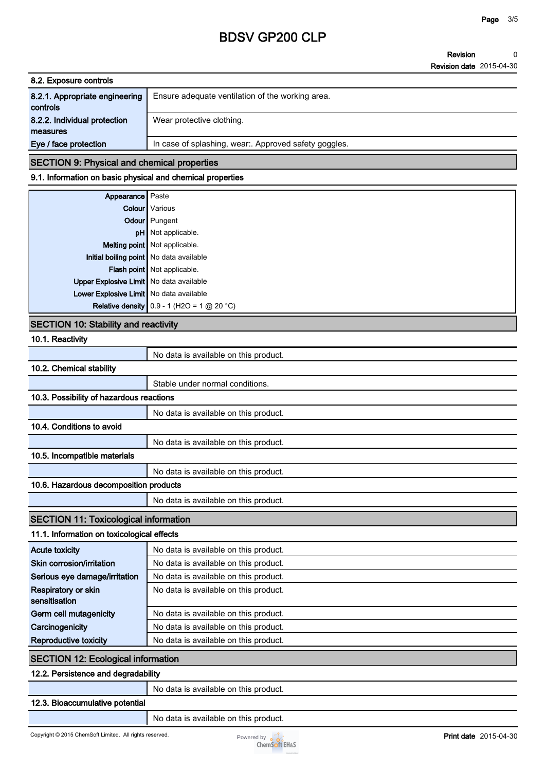#### **Revision Revision date 2015-04-30 0**

| 8.2. Exposure controls         |                                                     |
|--------------------------------|-----------------------------------------------------|
| 8.2.1. Appropriate engineering | Ensure adequate ventilation of the working area.    |
| controls                       |                                                     |
| 8.2.2. Individual protection   | Wear protective clothing.                           |
| measures                       |                                                     |
| Eye / face protection          | In case of splashing, wear Approved safety goggles. |
|                                |                                                     |

### **SECTION 9: Physical and chemical properties**

### **9.1. Information on basic physical and chemical properties**

| <b>Appearance</b> Paste                   |                                              |
|-------------------------------------------|----------------------------------------------|
|                                           | <b>Colour</b> Various                        |
|                                           | Odour Pungent                                |
|                                           | pH Not applicable.                           |
|                                           | Melting point Not applicable.                |
| Initial boiling point   No data available |                                              |
|                                           | Flash point Not applicable.                  |
| Upper Explosive Limit   No data available |                                              |
| Lower Explosive Limit   No data available |                                              |
|                                           | Relative density $0.9 - 1$ (H2O = 1 @ 20 °C) |

### **SECTION 10: Stability and reactivity**

| 10.1. Reactivity                             |                                       |
|----------------------------------------------|---------------------------------------|
|                                              | No data is available on this product. |
| 10.2. Chemical stability                     |                                       |
|                                              | Stable under normal conditions.       |
| 10.3. Possibility of hazardous reactions     |                                       |
|                                              | No data is available on this product. |
| 10.4. Conditions to avoid                    |                                       |
|                                              | No data is available on this product. |
| 10.5. Incompatible materials                 |                                       |
|                                              | No data is available on this product. |
| 10.6. Hazardous decomposition products       |                                       |
|                                              | No data is available on this product. |
| <b>SECTION 11: Toxicological information</b> |                                       |
| 11.1. Information on toxicological effects   |                                       |
| <b>Acute toxicity</b>                        | No data is available on this product. |
| Skin corrosion/irritation                    | No data is available on this product. |
| Serious eye damage/irritation                | No data is available on this product. |
| Respiratory or skin<br>sensitisation         | No data is available on this product. |
| Germ cell mutagenicity                       | No data is available on this product. |
| Carcinogenicity                              | No data is available on this product. |
| Reproductive toxicity                        | No data is available on this product. |
| <b>SECTION 12: Ecological information</b>    |                                       |
| 12.2. Persistence and degradability          |                                       |
|                                              | No data is available on this product. |
| 12.3. Bioaccumulative potential              |                                       |
|                                              | No data is available on this product. |

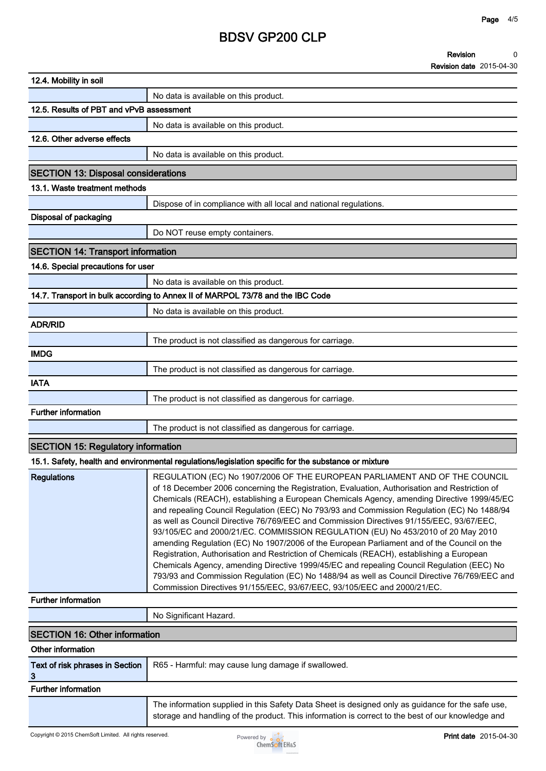#### **Revision 0**

**Revision date 2015-04-30**

|                                            | $\sim$                                                                                                                                                                                                                                                                                                                                                                                                                                                                                                                                                                                                                                                                                                                                                                                                                                                                                                                                                                                                                    |
|--------------------------------------------|---------------------------------------------------------------------------------------------------------------------------------------------------------------------------------------------------------------------------------------------------------------------------------------------------------------------------------------------------------------------------------------------------------------------------------------------------------------------------------------------------------------------------------------------------------------------------------------------------------------------------------------------------------------------------------------------------------------------------------------------------------------------------------------------------------------------------------------------------------------------------------------------------------------------------------------------------------------------------------------------------------------------------|
| 12.4. Mobility in soil                     |                                                                                                                                                                                                                                                                                                                                                                                                                                                                                                                                                                                                                                                                                                                                                                                                                                                                                                                                                                                                                           |
|                                            | No data is available on this product.                                                                                                                                                                                                                                                                                                                                                                                                                                                                                                                                                                                                                                                                                                                                                                                                                                                                                                                                                                                     |
| 12.5. Results of PBT and vPvB assessment   |                                                                                                                                                                                                                                                                                                                                                                                                                                                                                                                                                                                                                                                                                                                                                                                                                                                                                                                                                                                                                           |
|                                            | No data is available on this product.                                                                                                                                                                                                                                                                                                                                                                                                                                                                                                                                                                                                                                                                                                                                                                                                                                                                                                                                                                                     |
| 12.6. Other adverse effects                |                                                                                                                                                                                                                                                                                                                                                                                                                                                                                                                                                                                                                                                                                                                                                                                                                                                                                                                                                                                                                           |
|                                            | No data is available on this product.                                                                                                                                                                                                                                                                                                                                                                                                                                                                                                                                                                                                                                                                                                                                                                                                                                                                                                                                                                                     |
| <b>SECTION 13: Disposal considerations</b> |                                                                                                                                                                                                                                                                                                                                                                                                                                                                                                                                                                                                                                                                                                                                                                                                                                                                                                                                                                                                                           |
| 13.1. Waste treatment methods              |                                                                                                                                                                                                                                                                                                                                                                                                                                                                                                                                                                                                                                                                                                                                                                                                                                                                                                                                                                                                                           |
|                                            | Dispose of in compliance with all local and national regulations.                                                                                                                                                                                                                                                                                                                                                                                                                                                                                                                                                                                                                                                                                                                                                                                                                                                                                                                                                         |
| Disposal of packaging                      |                                                                                                                                                                                                                                                                                                                                                                                                                                                                                                                                                                                                                                                                                                                                                                                                                                                                                                                                                                                                                           |
|                                            | Do NOT reuse empty containers.                                                                                                                                                                                                                                                                                                                                                                                                                                                                                                                                                                                                                                                                                                                                                                                                                                                                                                                                                                                            |
| <b>SECTION 14: Transport information</b>   |                                                                                                                                                                                                                                                                                                                                                                                                                                                                                                                                                                                                                                                                                                                                                                                                                                                                                                                                                                                                                           |
| 14.6. Special precautions for user         |                                                                                                                                                                                                                                                                                                                                                                                                                                                                                                                                                                                                                                                                                                                                                                                                                                                                                                                                                                                                                           |
|                                            | No data is available on this product.                                                                                                                                                                                                                                                                                                                                                                                                                                                                                                                                                                                                                                                                                                                                                                                                                                                                                                                                                                                     |
|                                            | 14.7. Transport in bulk according to Annex II of MARPOL 73/78 and the IBC Code                                                                                                                                                                                                                                                                                                                                                                                                                                                                                                                                                                                                                                                                                                                                                                                                                                                                                                                                            |
|                                            | No data is available on this product.                                                                                                                                                                                                                                                                                                                                                                                                                                                                                                                                                                                                                                                                                                                                                                                                                                                                                                                                                                                     |
| <b>ADR/RID</b>                             |                                                                                                                                                                                                                                                                                                                                                                                                                                                                                                                                                                                                                                                                                                                                                                                                                                                                                                                                                                                                                           |
|                                            | The product is not classified as dangerous for carriage.                                                                                                                                                                                                                                                                                                                                                                                                                                                                                                                                                                                                                                                                                                                                                                                                                                                                                                                                                                  |
| <b>IMDG</b>                                |                                                                                                                                                                                                                                                                                                                                                                                                                                                                                                                                                                                                                                                                                                                                                                                                                                                                                                                                                                                                                           |
|                                            | The product is not classified as dangerous for carriage.                                                                                                                                                                                                                                                                                                                                                                                                                                                                                                                                                                                                                                                                                                                                                                                                                                                                                                                                                                  |
| <b>IATA</b>                                |                                                                                                                                                                                                                                                                                                                                                                                                                                                                                                                                                                                                                                                                                                                                                                                                                                                                                                                                                                                                                           |
|                                            | The product is not classified as dangerous for carriage.                                                                                                                                                                                                                                                                                                                                                                                                                                                                                                                                                                                                                                                                                                                                                                                                                                                                                                                                                                  |
| <b>Further information</b>                 |                                                                                                                                                                                                                                                                                                                                                                                                                                                                                                                                                                                                                                                                                                                                                                                                                                                                                                                                                                                                                           |
|                                            | The product is not classified as dangerous for carriage.                                                                                                                                                                                                                                                                                                                                                                                                                                                                                                                                                                                                                                                                                                                                                                                                                                                                                                                                                                  |
| <b>SECTION 15: Regulatory information</b>  |                                                                                                                                                                                                                                                                                                                                                                                                                                                                                                                                                                                                                                                                                                                                                                                                                                                                                                                                                                                                                           |
|                                            | 15.1. Safety, health and environmental regulations/legislation specific for the substance or mixture                                                                                                                                                                                                                                                                                                                                                                                                                                                                                                                                                                                                                                                                                                                                                                                                                                                                                                                      |
| <b>Regulations</b>                         | REGULATION (EC) No 1907/2006 OF THE EUROPEAN PARLIAMENT AND OF THE COUNCIL<br>of 18 December 2006 concerning the Registration, Evaluation, Authorisation and Restriction of<br>Chemicals (REACH), establishing a European Chemicals Agency, amending Directive 1999/45/EC<br>and repealing Council Regulation (EEC) No 793/93 and Commission Regulation (EC) No 1488/94<br>as well as Council Directive 76/769/EEC and Commission Directives 91/155/EEC, 93/67/EEC,<br>93/105/EC and 2000/21/EC. COMMISSION REGULATION (EU) No 453/2010 of 20 May 2010<br>amending Regulation (EC) No 1907/2006 of the European Parliament and of the Council on the<br>Registration, Authorisation and Restriction of Chemicals (REACH), establishing a European<br>Chemicals Agency, amending Directive 1999/45/EC and repealing Council Regulation (EEC) No<br>793/93 and Commission Regulation (EC) No 1488/94 as well as Council Directive 76/769/EEC and<br>Commission Directives 91/155/EEC, 93/67/EEC, 93/105/EEC and 2000/21/EC. |
| <b>Further information</b>                 |                                                                                                                                                                                                                                                                                                                                                                                                                                                                                                                                                                                                                                                                                                                                                                                                                                                                                                                                                                                                                           |
|                                            | No Significant Hazard.                                                                                                                                                                                                                                                                                                                                                                                                                                                                                                                                                                                                                                                                                                                                                                                                                                                                                                                                                                                                    |
| <b>SECTION 16: Other information</b>       |                                                                                                                                                                                                                                                                                                                                                                                                                                                                                                                                                                                                                                                                                                                                                                                                                                                                                                                                                                                                                           |
| Other information                          |                                                                                                                                                                                                                                                                                                                                                                                                                                                                                                                                                                                                                                                                                                                                                                                                                                                                                                                                                                                                                           |
| Text of risk phrases in Section<br>3       | R65 - Harmful: may cause lung damage if swallowed.                                                                                                                                                                                                                                                                                                                                                                                                                                                                                                                                                                                                                                                                                                                                                                                                                                                                                                                                                                        |
| <b>Further information</b>                 |                                                                                                                                                                                                                                                                                                                                                                                                                                                                                                                                                                                                                                                                                                                                                                                                                                                                                                                                                                                                                           |

**The information supplied in this Safety Data Sheet is designed only as guidance for the safe use, storage and handling of the product. This information is correct to the best of our knowledge and**